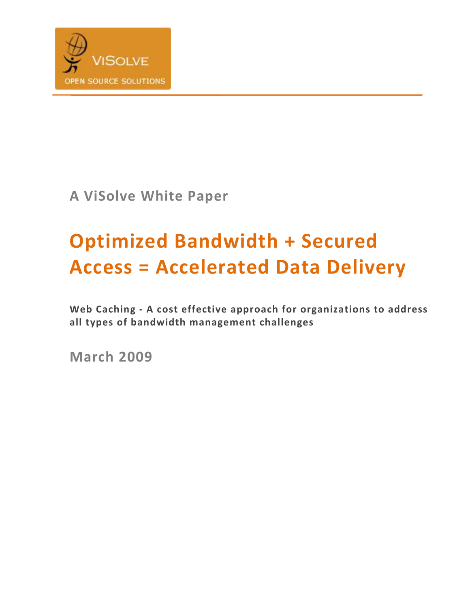

A ViSolve White Paper

# Optimized Bandwidth + Secured Access = Accelerated Data Delivery

Web Caching - A cost effective approach for organizations to address all types of bandwidth management challenges

March 2009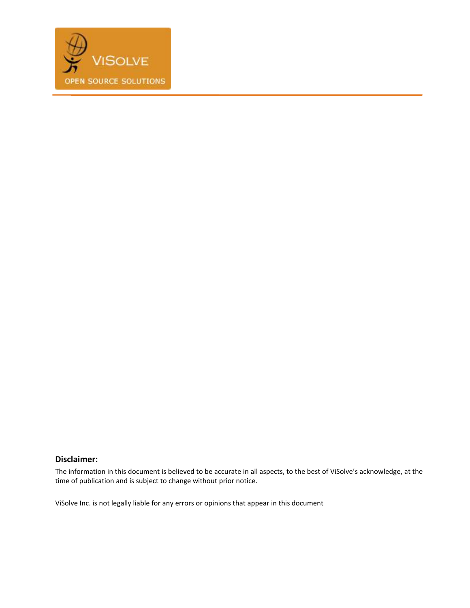

#### Disclaimer:

The information in this document is believed to be accurate in all aspects, to the best of ViSolve's acknowledge, at the time of publication and is subject to change without prior notice.

ViSolve Inc. is not legally liable for any errors or opinions that appear in this document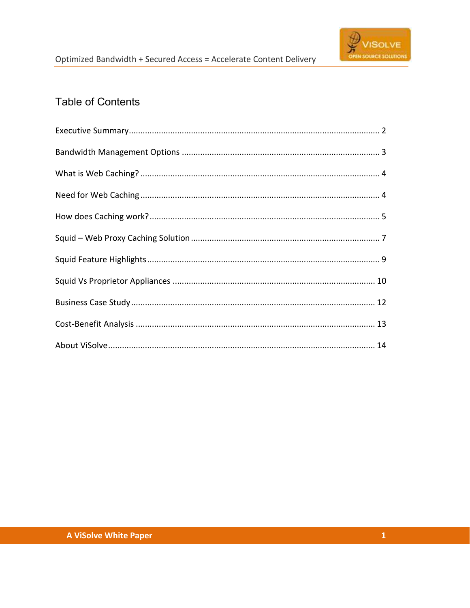

## **Table of Contents**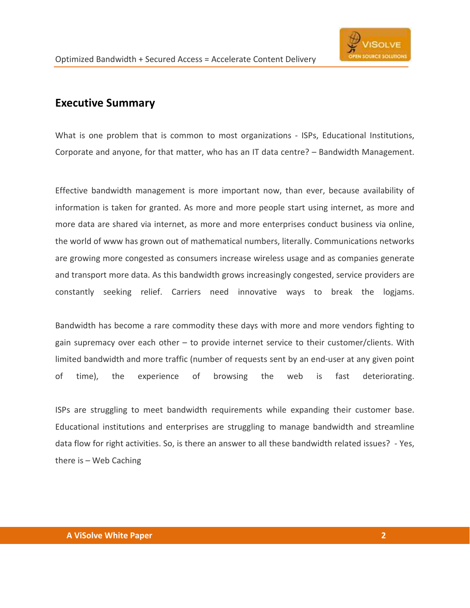

#### Executive Summary

What is one problem that is common to most organizations - ISPs, Educational Institutions, Corporate and anyone, for that matter, who has an IT data centre? – Bandwidth Management.

Effective bandwidth management is more important now, than ever, because availability of information is taken for granted. As more and more people start using internet, as more and more data are shared via internet, as more and more enterprises conduct business via online, the world of www has grown out of mathematical numbers, literally. Communications networks are growing more congested as consumers increase wireless usage and as companies generate and transport more data. As this bandwidth grows increasingly congested, service providers are constantly seeking relief. Carriers need innovative ways to break the logjams.

Bandwidth has become a rare commodity these days with more and more vendors fighting to gain supremacy over each other – to provide internet service to their customer/clients. With limited bandwidth and more traffic (number of requests sent by an end-user at any given point of time), the experience of browsing the web is fast deteriorating.

ISPs are struggling to meet bandwidth requirements while expanding their customer base. Educational institutions and enterprises are struggling to manage bandwidth and streamline data flow for right activities. So, is there an answer to all these bandwidth related issues? - Yes, there is – Web Caching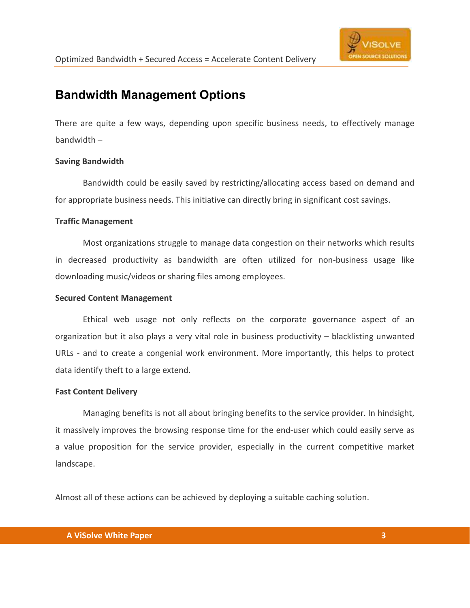

## Bandwidth Management Options

There are quite a few ways, depending upon specific business needs, to effectively manage bandwidth –

#### Saving Bandwidth

 Bandwidth could be easily saved by restricting/allocating access based on demand and for appropriate business needs. This initiative can directly bring in significant cost savings.

#### Traffic Management

 Most organizations struggle to manage data congestion on their networks which results in decreased productivity as bandwidth are often utilized for non-business usage like downloading music/videos or sharing files among employees.

#### Secured Content Management

Ethical web usage not only reflects on the corporate governance aspect of an organization but it also plays a very vital role in business productivity – blacklisting unwanted URLs - and to create a congenial work environment. More importantly, this helps to protect data identify theft to a large extend.

#### Fast Content Delivery

 Managing benefits is not all about bringing benefits to the service provider. In hindsight, it massively improves the browsing response time for the end-user which could easily serve as a value proposition for the service provider, especially in the current competitive market landscape.

Almost all of these actions can be achieved by deploying a suitable caching solution.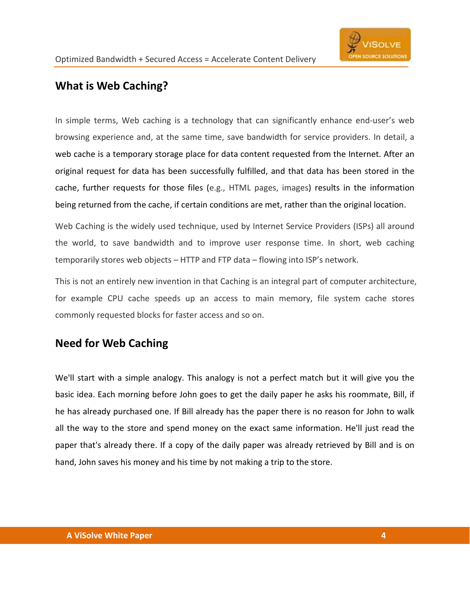

## What is Web Caching?

In simple terms, Web caching is a technology that can significantly enhance end-user's web browsing experience and, at the same time, save bandwidth for service providers. In detail, a web cache is a temporary storage place for data content requested from the Internet. After an original request for data has been successfully fulfilled, and that data has been stored in the cache, further requests for those files (e.g., HTML pages, images) results in the information being returned from the cache, if certain conditions are met, rather than the original location.

Web Caching is the widely used technique, used by Internet Service Providers (ISPs) all around the world, to save bandwidth and to improve user response time. In short, web caching temporarily stores web objects – HTTP and FTP data – flowing into ISP's network.

This is not an entirely new invention in that Caching is an integral part of computer architecture, for example CPU cache speeds up an access to main memory, file system cache stores commonly requested blocks for faster access and so on.

## Need for Web Caching

We'll start with a simple analogy. This analogy is not a perfect match but it will give you the basic idea. Each morning before John goes to get the daily paper he asks his roommate, Bill, if he has already purchased one. If Bill already has the paper there is no reason for John to walk all the way to the store and spend money on the exact same information. He'll just read the paper that's already there. If a copy of the daily paper was already retrieved by Bill and is on hand, John saves his money and his time by not making a trip to the store.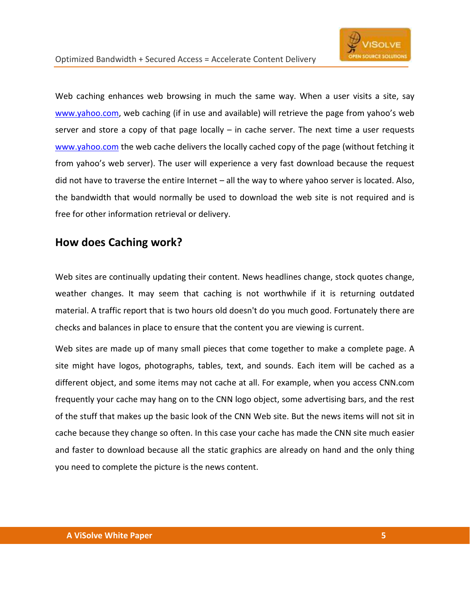Web caching enhances web browsing in much the same way. When a user visits a site, say www.yahoo.com, web caching (if in use and available) will retrieve the page from yahoo's web server and store a copy of that page locally – in cache server. The next time a user requests www.yahoo.com the web cache delivers the locally cached copy of the page (without fetching it from yahoo's web server). The user will experience a very fast download because the request did not have to traverse the entire Internet – all the way to where yahoo server is located. Also, the bandwidth that would normally be used to download the web site is not required and is free for other information retrieval or delivery.

### How does Caching work?

Web sites are continually updating their content. News headlines change, stock quotes change, weather changes. It may seem that caching is not worthwhile if it is returning outdated material. A traffic report that is two hours old doesn't do you much good. Fortunately there are checks and balances in place to ensure that the content you are viewing is current.

Web sites are made up of many small pieces that come together to make a complete page. A site might have logos, photographs, tables, text, and sounds. Each item will be cached as a different object, and some items may not cache at all. For example, when you access CNN.com frequently your cache may hang on to the CNN logo object, some advertising bars, and the rest of the stuff that makes up the basic look of the CNN Web site. But the news items will not sit in cache because they change so often. In this case your cache has made the CNN site much easier and faster to download because all the static graphics are already on hand and the only thing you need to complete the picture is the news content.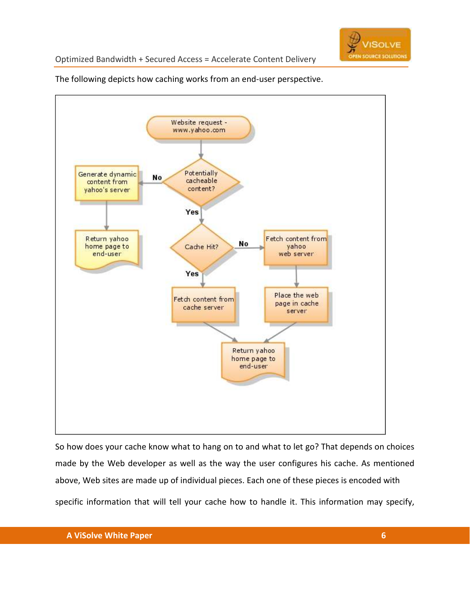

Optimized Bandwidth + Secured Access = Accelerate Content Delivery



The following depicts how caching works from an end-user perspective.

So how does your cache know what to hang on to and what to let go? That depends on choices made by the Web developer as well as the way the user configures his cache. As mentioned above, Web sites are made up of individual pieces. Each one of these pieces is encoded with specific information that will tell your cache how to handle it. This information may specify,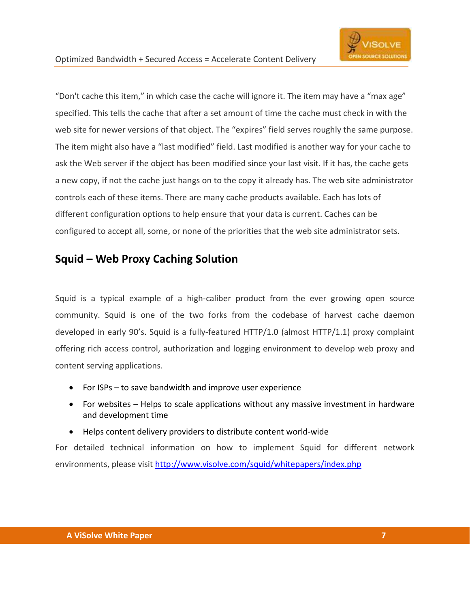"Don't cache this item," in which case the cache will ignore it. The item may have a "max age" specified. This tells the cache that after a set amount of time the cache must check in with the web site for newer versions of that object. The "expires" field serves roughly the same purpose. The item might also have a "last modified" field. Last modified is another way for your cache to ask the Web server if the object has been modified since your last visit. If it has, the cache gets a new copy, if not the cache just hangs on to the copy it already has. The web site administrator controls each of these items. There are many cache products available. Each has lots of different configuration options to help ensure that your data is current. Caches can be configured to accept all, some, or none of the priorities that the web site administrator sets.

### Squid – Web Proxy Caching Solution

Squid is a typical example of a high-caliber product from the ever growing open source community. Squid is one of the two forks from the codebase of harvest cache daemon developed in early 90's. Squid is a fully-featured HTTP/1.0 (almost HTTP/1.1) proxy complaint offering rich access control, authorization and logging environment to develop web proxy and content serving applications.

- For ISPs to save bandwidth and improve user experience
- For websites Helps to scale applications without any massive investment in hardware and development time
- Helps content delivery providers to distribute content world-wide

For detailed technical information on how to implement Squid for different network environments, please visit http://www.visolve.com/squid/whitepapers/index.php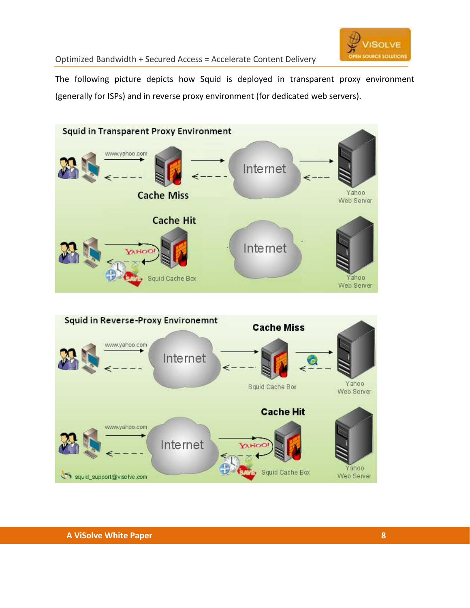

Optimized Bandwidth + Secured Access = Accelerate Content Delivery

The following picture depicts how Squid is deployed in transparent proxy environment (generally for ISPs) and in reverse proxy environment (for dedicated web servers).



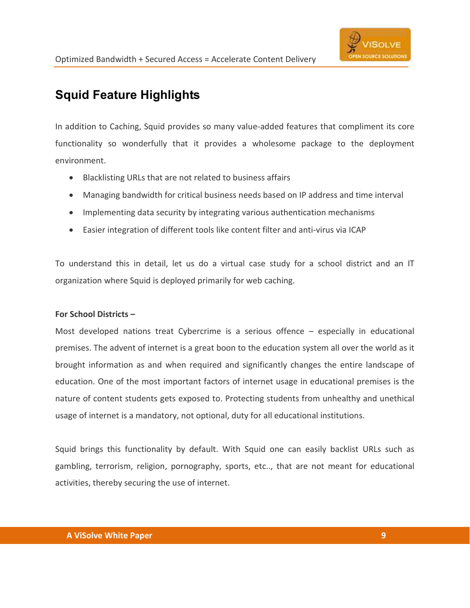

# Squid Feature Highlights

In addition to Caching, Squid provides so many value-added features that compliment its core functionality so wonderfully that it provides a wholesome package to the deployment environment.

- Blacklisting URLs that are not related to business affairs
- Managing bandwidth for critical business needs based on IP address and time interval
- Implementing data security by integrating various authentication mechanisms
- Easier integration of different tools like content filter and anti-virus via ICAP

To understand this in detail, let us do a virtual case study for a school district and an IT organization where Squid is deployed primarily for web caching.

#### For School Districts –

Most developed nations treat Cybercrime is a serious offence – especially in educational premises. The advent of internet is a great boon to the education system all over the world as it brought information as and when required and significantly changes the entire landscape of education. One of the most important factors of internet usage in educational premises is the nature of content students gets exposed to. Protecting students from unhealthy and unethical usage of internet is a mandatory, not optional, duty for all educational institutions.

Squid brings this functionality by default. With Squid one can easily backlist URLs such as gambling, terrorism, religion, pornography, sports, etc.., that are not meant for educational activities, thereby securing the use of internet.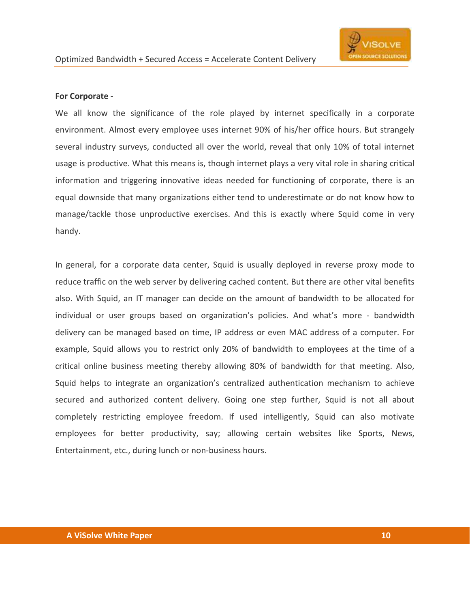

#### For Corporate -

We all know the significance of the role played by internet specifically in a corporate environment. Almost every employee uses internet 90% of his/her office hours. But strangely several industry surveys, conducted all over the world, reveal that only 10% of total internet usage is productive. What this means is, though internet plays a very vital role in sharing critical information and triggering innovative ideas needed for functioning of corporate, there is an equal downside that many organizations either tend to underestimate or do not know how to manage/tackle those unproductive exercises. And this is exactly where Squid come in very handy.

In general, for a corporate data center, Squid is usually deployed in reverse proxy mode to reduce traffic on the web server by delivering cached content. But there are other vital benefits also. With Squid, an IT manager can decide on the amount of bandwidth to be allocated for individual or user groups based on organization's policies. And what's more - bandwidth delivery can be managed based on time, IP address or even MAC address of a computer. For example, Squid allows you to restrict only 20% of bandwidth to employees at the time of a critical online business meeting thereby allowing 80% of bandwidth for that meeting. Also, Squid helps to integrate an organization's centralized authentication mechanism to achieve secured and authorized content delivery. Going one step further, Squid is not all about completely restricting employee freedom. If used intelligently, Squid can also motivate employees for better productivity, say; allowing certain websites like Sports, News, Entertainment, etc., during lunch or non-business hours.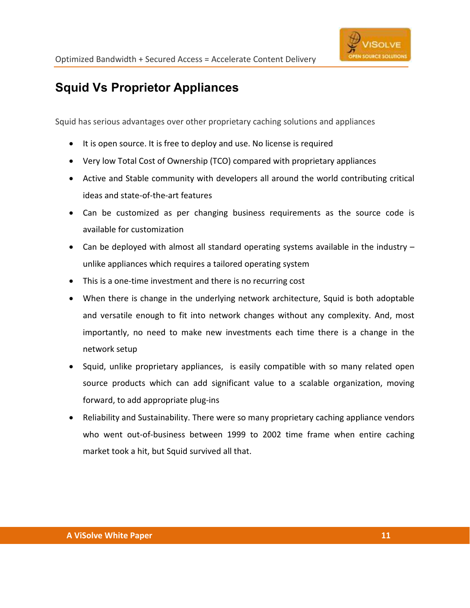

# Squid Vs Proprietor Appliances

Squid has serious advantages over other proprietary caching solutions and appliances

- It is open source. It is free to deploy and use. No license is required
- Very low Total Cost of Ownership (TCO) compared with proprietary appliances
- Active and Stable community with developers all around the world contributing critical ideas and state-of-the-art features
- Can be customized as per changing business requirements as the source code is available for customization
- Can be deployed with almost all standard operating systems available in the industry  $$ unlike appliances which requires a tailored operating system
- This is a one-time investment and there is no recurring cost
- When there is change in the underlying network architecture, Squid is both adoptable and versatile enough to fit into network changes without any complexity. And, most importantly, no need to make new investments each time there is a change in the network setup
- Squid, unlike proprietary appliances, is easily compatible with so many related open source products which can add significant value to a scalable organization, moving forward, to add appropriate plug-ins
- Reliability and Sustainability. There were so many proprietary caching appliance vendors who went out-of-business between 1999 to 2002 time frame when entire caching market took a hit, but Squid survived all that.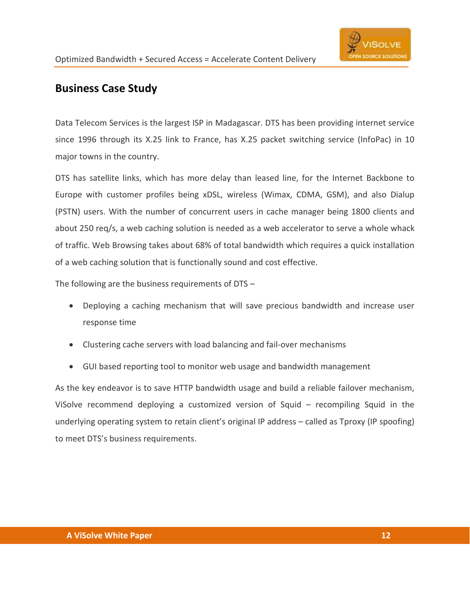

## Business Case Study

Data Telecom Services is the largest ISP in Madagascar. DTS has been providing internet service since 1996 through its X.25 link to France, has X.25 packet switching service (InfoPac) in 10 major towns in the country.

DTS has satellite links, which has more delay than leased line, for the Internet Backbone to Europe with customer profiles being xDSL, wireless (Wimax, CDMA, GSM), and also Dialup (PSTN) users. With the number of concurrent users in cache manager being 1800 clients and about 250 req/s, a web caching solution is needed as a web accelerator to serve a whole whack of traffic. Web Browsing takes about 68% of total bandwidth which requires a quick installation of a web caching solution that is functionally sound and cost effective.

The following are the business requirements of DTS –

- Deploying a caching mechanism that will save precious bandwidth and increase user response time
- Clustering cache servers with load balancing and fail-over mechanisms
- GUI based reporting tool to monitor web usage and bandwidth management

As the key endeavor is to save HTTP bandwidth usage and build a reliable failover mechanism, ViSolve recommend deploying a customized version of Squid – recompiling Squid in the underlying operating system to retain client's original IP address – called as Tproxy (IP spoofing) to meet DTS's business requirements.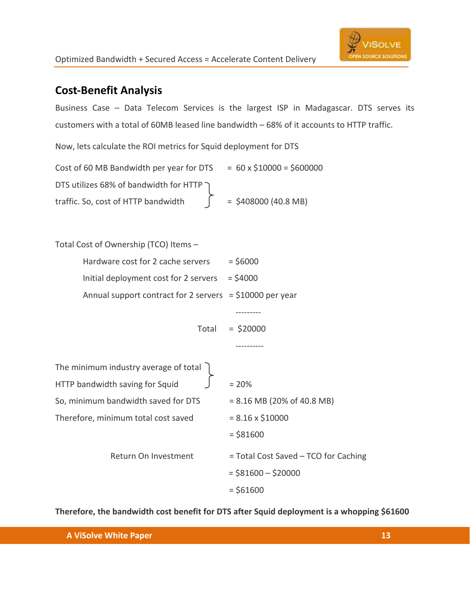## Cost-Benefit Analysis

Business Case – Data Telecom Services is the largest ISP in Madagascar. DTS serves its customers with a total of 60MB leased line bandwidth – 68% of it accounts to HTTP traffic.

Now, lets calculate the ROI metrics for Squid deployment for DTS

| Cost of 60 MB Bandwidth per year for DTS | $= 60 \times $10000 = $600000$ |
|------------------------------------------|--------------------------------|
| DTS utilizes 68% of bandwidth for HTTP ) |                                |
| traffic. So, cost of HTTP bandwidth      | $=$ \$408000 (40.8 MB)         |

| Total Cost of Ownership (TCO) Items -                     |                                      |
|-----------------------------------------------------------|--------------------------------------|
| Hardware cost for 2 cache servers                         | $=$ \$6000                           |
| Initial deployment cost for 2 servers                     | $=$ \$4000                           |
| Annual support contract for 2 servers = $$10000$ per year |                                      |
|                                                           |                                      |
| Total                                                     | $=$ \$20000                          |
|                                                           |                                      |
| The minimum industry average of total                     |                                      |
| HTTP bandwidth saving for Squid                           | $= 20%$                              |
| So, minimum bandwidth saved for DTS                       | $= 8.16 \text{ MB}$ (20% of 40.8 MB) |
| Therefore, minimum total cost saved                       | $= 8.16 \times $10000$               |
|                                                           | $=$ \$81600                          |
| Return On Investment                                      | = Total Cost Saved - TCO for Caching |
|                                                           | $=$ \$81600 - \$20000                |
|                                                           | $= $61600$                           |

Therefore, the bandwidth cost benefit for DTS after Squid deployment is a whopping \$61600

A ViSolve White Paper 13 and 200 million and 200 million and 200 million 200 million 200 million 200 million